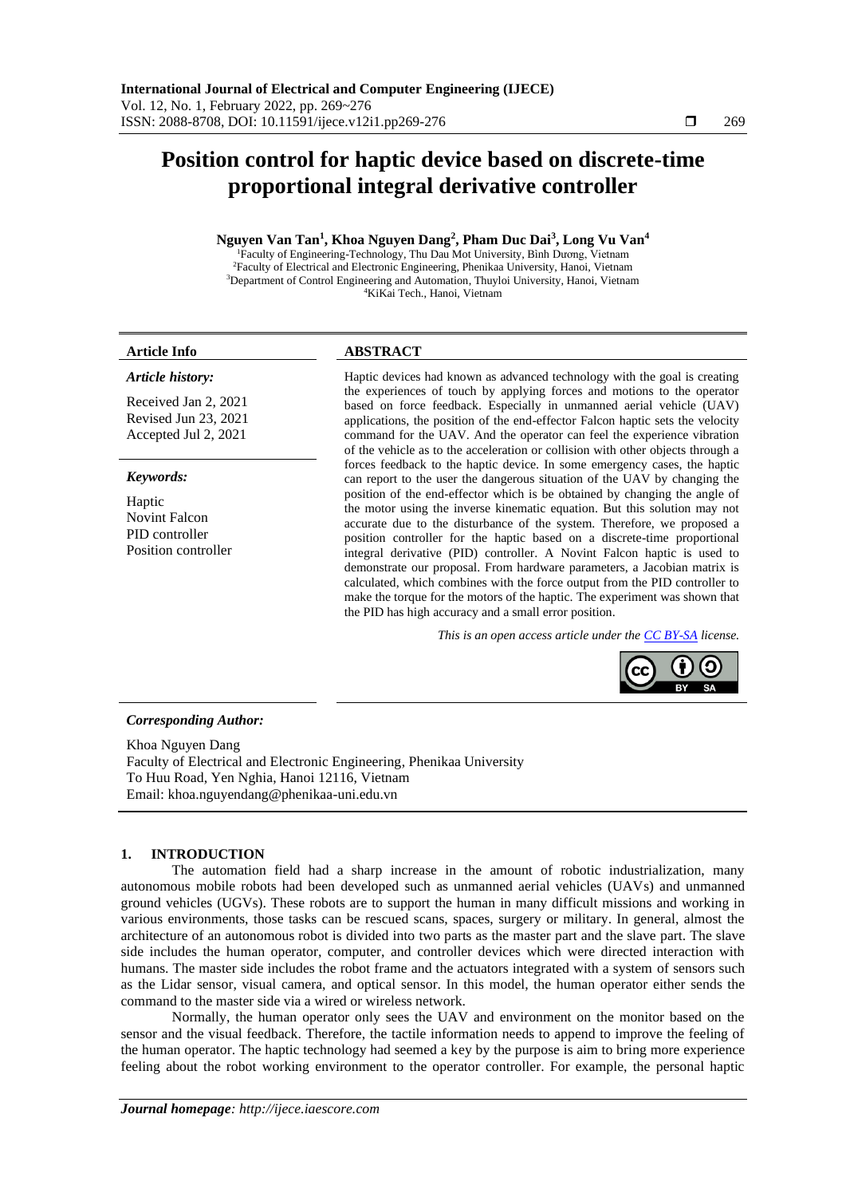# **Position control for haptic device based on discrete-time proportional integral derivative controller**

# **Nguyen Van Tan<sup>1</sup> , Khoa Nguyen Dang<sup>2</sup> , Pham Duc Dai<sup>3</sup> , Long Vu Van<sup>4</sup>**

Faculty of Engineering-Technology, Thu Dau Mot University, Bình Dương, Vietnam Faculty of Electrical and Electronic Engineering, Phenikaa University, Hanoi, Vietnam Department of Control Engineering and Automation, Thuyloi University, Hanoi, Vietnam KiKai Tech., Hanoi, Vietnam

#### *Article history:*

Received Jan 2, 2021 Revised Jun 23, 2021 Accepted Jul 2, 2021

#### *Keywords:*

Haptic Novint Falcon PID controller Position controller

## **Article Info ABSTRACT**

Haptic devices had known as advanced technology with the goal is creating the experiences of touch by applying forces and motions to the operator based on force feedback. Especially in unmanned aerial vehicle (UAV) applications, the position of the end-effector Falcon haptic sets the velocity command for the UAV. And the operator can feel the experience vibration of the vehicle as to the acceleration or collision with other objects through a forces feedback to the haptic device. In some emergency cases, the haptic can report to the user the dangerous situation of the UAV by changing the position of the end-effector which is be obtained by changing the angle of the motor using the inverse kinematic equation. But this solution may not accurate due to the disturbance of the system. Therefore, we proposed a position controller for the haptic based on a discrete-time proportional integral derivative (PID) controller. A Novint Falcon haptic is used to demonstrate our proposal. From hardware parameters, a Jacobian matrix is calculated, which combines with the force output from the PID controller to make the torque for the motors of the haptic. The experiment was shown that the PID has high accuracy and a small error position.

*This is an open access article under the [CC BY-SA](https://creativecommons.org/licenses/by-sa/4.0/) license.*

#### *Corresponding Author:*

Khoa Nguyen Dang Faculty of Electrical and Electronic Engineering, Phenikaa University To Huu Road, Yen Nghia, Hanoi 12116, Vietnam Email: khoa.nguyendang@phenikaa-uni.edu.vn

#### **1. INTRODUCTION**

The automation field had a sharp increase in the amount of robotic industrialization, many autonomous mobile robots had been developed such as unmanned aerial vehicles (UAVs) and unmanned ground vehicles (UGVs). These robots are to support the human in many difficult missions and working in various environments, those tasks can be rescued scans, spaces, surgery or military. In general, almost the architecture of an autonomous robot is divided into two parts as the master part and the slave part. The slave side includes the human operator, computer, and controller devices which were directed interaction with humans. The master side includes the robot frame and the actuators integrated with a system of sensors such as the Lidar sensor, visual camera, and optical sensor. In this model, the human operator either sends the command to the master side via a wired or wireless network.

Normally, the human operator only sees the UAV and environment on the monitor based on the sensor and the visual feedback. Therefore, the tactile information needs to append to improve the feeling of the human operator. The haptic technology had seemed a key by the purpose is aim to bring more experience feeling about the robot working environment to the operator controller. For example, the personal haptic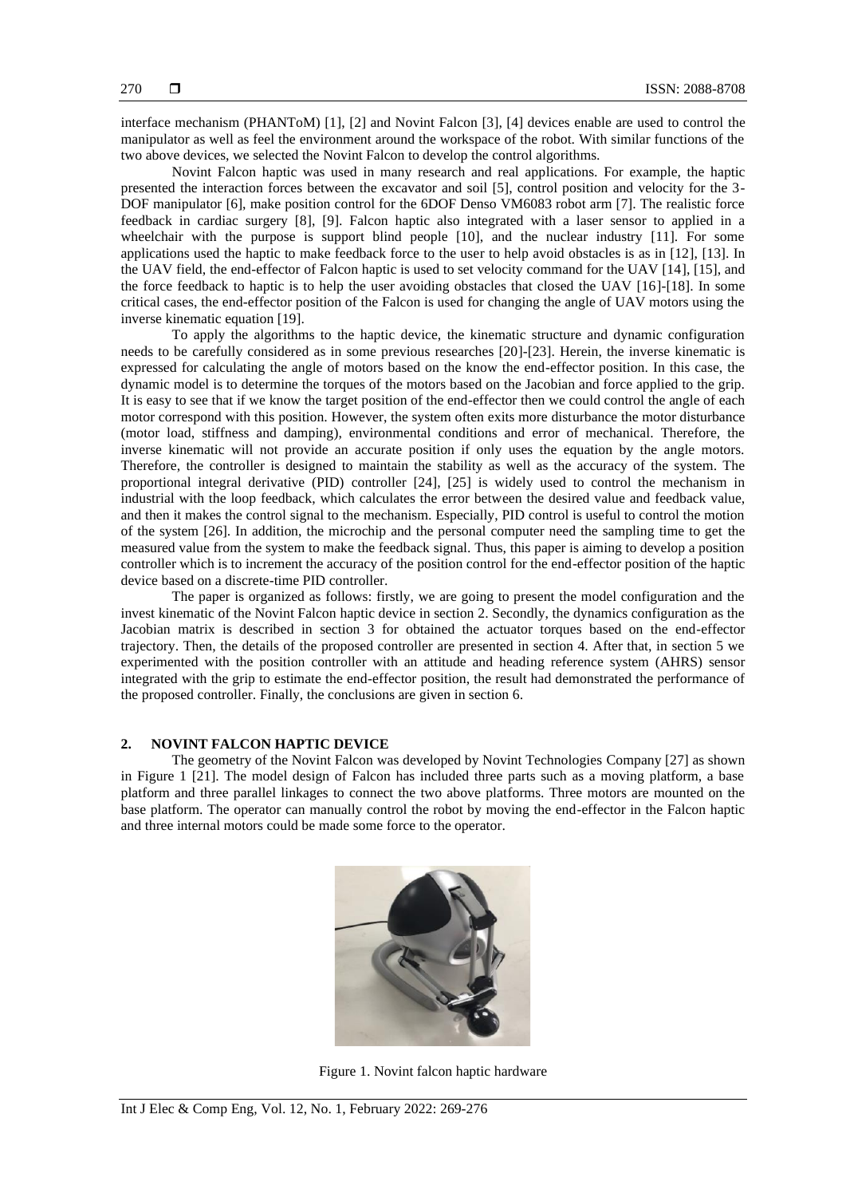interface mechanism (PHANToM) [1], [2] and Novint Falcon [3], [4] devices enable are used to control the manipulator as well as feel the environment around the workspace of the robot. With similar functions of the two above devices, we selected the Novint Falcon to develop the control algorithms.

Novint Falcon haptic was used in many research and real applications. For example, the haptic presented the interaction forces between the excavator and soil [5], control position and velocity for the 3- DOF manipulator [6], make position control for the 6DOF Denso VM6083 robot arm [7]. The realistic force feedback in cardiac surgery [8], [9]. Falcon haptic also integrated with a laser sensor to applied in a wheelchair with the purpose is support blind people [10], and the nuclear industry [11]. For some applications used the haptic to make feedback force to the user to help avoid obstacles is as in [12], [13]. In the UAV field, the end-effector of Falcon haptic is used to set velocity command for the UAV [14], [15], and the force feedback to haptic is to help the user avoiding obstacles that closed the UAV [16]-[18]. In some critical cases, the end-effector position of the Falcon is used for changing the angle of UAV motors using the inverse kinematic equation [19].

To apply the algorithms to the haptic device, the kinematic structure and dynamic configuration needs to be carefully considered as in some previous researches [20]-[23]. Herein, the inverse kinematic is expressed for calculating the angle of motors based on the know the end-effector position. In this case, the dynamic model is to determine the torques of the motors based on the Jacobian and force applied to the grip. It is easy to see that if we know the target position of the end-effector then we could control the angle of each motor correspond with this position. However, the system often exits more disturbance the motor disturbance (motor load, stiffness and damping), environmental conditions and error of mechanical. Therefore, the inverse kinematic will not provide an accurate position if only uses the equation by the angle motors. Therefore, the controller is designed to maintain the stability as well as the accuracy of the system. The proportional integral derivative (PID) controller [24], [25] is widely used to control the mechanism in industrial with the loop feedback, which calculates the error between the desired value and feedback value, and then it makes the control signal to the mechanism. Especially, PID control is useful to control the motion of the system [26]. In addition, the microchip and the personal computer need the sampling time to get the measured value from the system to make the feedback signal. Thus, this paper is aiming to develop a position controller which is to increment the accuracy of the position control for the end-effector position of the haptic device based on a discrete-time PID controller.

The paper is organized as follows: firstly, we are going to present the model configuration and the invest kinematic of the Novint Falcon haptic device in section 2. Secondly, the dynamics configuration as the Jacobian matrix is described in section 3 for obtained the actuator torques based on the end-effector trajectory. Then, the details of the proposed controller are presented in section 4. After that, in section 5 we experimented with the position controller with an attitude and heading reference system (AHRS) sensor integrated with the grip to estimate the end-effector position, the result had demonstrated the performance of the proposed controller. Finally, the conclusions are given in section 6.

### **2. NOVINT FALCON HAPTIC DEVICE**

The geometry of the Novint Falcon was developed by Novint Technologies Company [27] as shown in Figure 1 [21]. The model design of Falcon has included three parts such as a moving platform, a base platform and three parallel linkages to connect the two above platforms. Three motors are mounted on the base platform. The operator can manually control the robot by moving the end-effector in the Falcon haptic and three internal motors could be made some force to the operator.



Figure 1. Novint falcon haptic hardware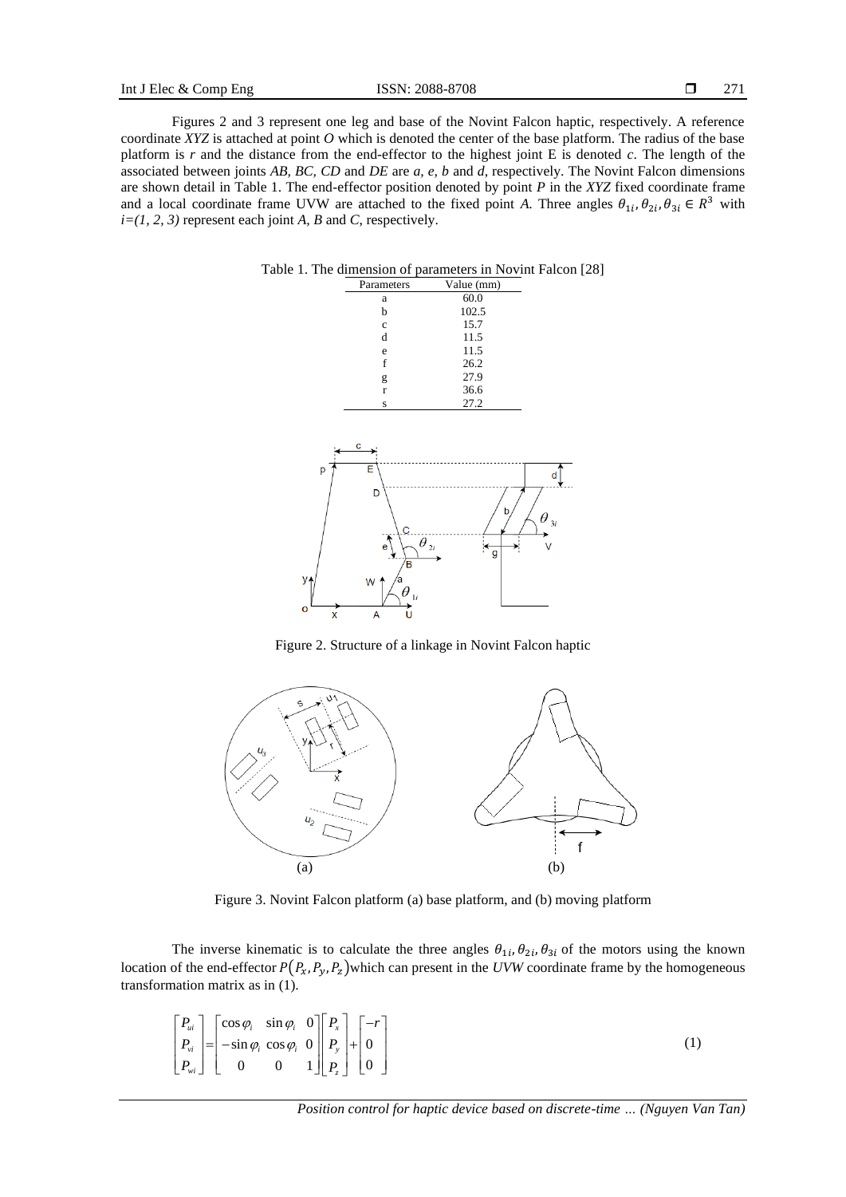271

Figures 2 and 3 represent one leg and base of the Novint Falcon haptic, respectively. A reference coordinate *XYZ* is attached at point *O* which is denoted the center of the base platform. The radius of the base platform is *r* and the distance from the end-effector to the highest joint E is denoted *c*. The length of the associated between joints *AB, BC, CD* and *DE* are *a, e, b* and *d*, respectively. The Novint Falcon dimensions are shown detail in Table 1. The end-effector position denoted by point *P* in the *XYZ* fixed coordinate frame and a local coordinate frame UVW are attached to the fixed point *A*. Three angles  $\theta_{1i}, \theta_{2i}, \theta_{3i} \in R^3$  with  $i=(1, 2, 3)$  represent each joint *A*, *B* and *C*, respectively.



Figure 2. Structure of a linkage in Novint Falcon haptic



Figure 3. Novint Falcon platform (a) base platform, and (b) moving platform

The inverse kinematic is to calculate the three angles  $\theta_{1i}, \theta_{2i}, \theta_{3i}$  of the motors using the known location of the end-effector  $P(P_x, P_y, P_z)$  which can present in the *UVW* coordinate frame by the homogeneous transformation matrix as in (1).

$$
\begin{bmatrix} P_{ui} \\ P_{vi} \\ P_{vi} \end{bmatrix} = \begin{bmatrix} \cos \varphi_i & \sin \varphi_i & 0 \\ -\sin \varphi_i & \cos \varphi_i & 0 \\ 0 & 0 & 1 \end{bmatrix} \begin{bmatrix} P_x \\ P_y \\ P_z \end{bmatrix} + \begin{bmatrix} -r \\ 0 \\ 0 \end{bmatrix} \tag{1}
$$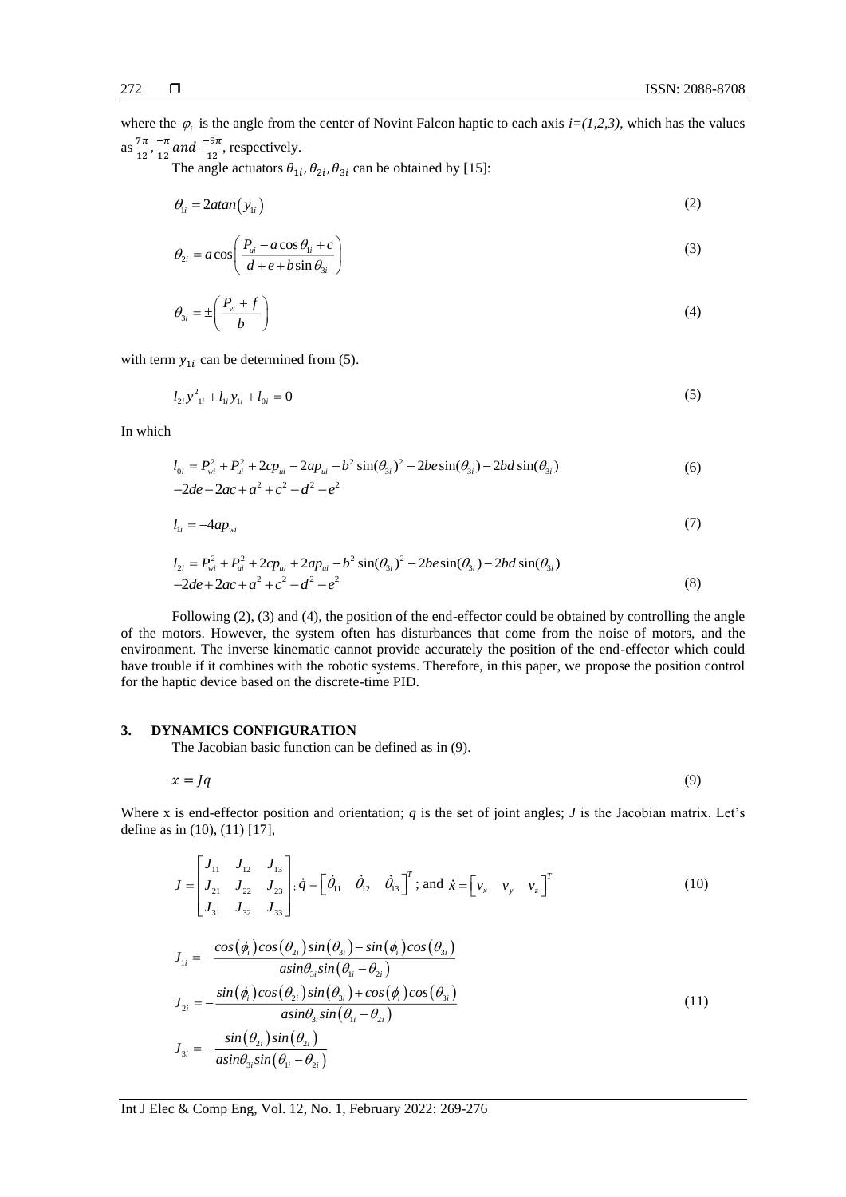where the  $\varphi_i$  is the angle from the center of Novint Falcon haptic to each axis  $i=(1,2,3)$ , which has the values as  $\frac{7\pi}{12}$  $\frac{7\pi}{12}, \frac{-\pi}{12}$  $\frac{-\pi}{12}$  and  $\frac{-9\pi}{12}$ , respectively.

The angle actuators  $\theta_{1i}$ ,  $\theta_{2i}$ ,  $\theta_{3i}$  can be obtained by [15]:

$$
\theta_{1i} = 2 \alpha \tan(\mathbf{y}_{1i}) \tag{2}
$$

$$
\theta_{2i} = a \cos \left( \frac{P_{ui} - a \cos \theta_{1i} + c}{d + e + b \sin \theta_{3i}} \right) \tag{3}
$$

$$
\theta_{3i} = \pm \left( \frac{P_{vi} + f}{b} \right) \tag{4}
$$

with term  $y_{1i}$  can be determined from (5).

$$
l_{2i} y_{1i}^2 + l_{1i} y_{1i} + l_{0i} = 0 \tag{5}
$$

In which

$$
l_{0i} = P_{wi}^2 + P_{ui}^2 + 2cp_{ui} - 2ap_{ui} - b^2 \sin(\theta_{3i})^2 - 2be \sin(\theta_{3i}) - 2bd \sin(\theta_{3i})
$$
  
-2de - 2ac + a<sup>2</sup> + c<sup>2</sup> - d<sup>2</sup> - e<sup>2</sup> (6)

$$
l_{1i} = -4ap_{wi} \tag{7}
$$

$$
l_{2i} = P_{wi}^2 + P_{ui}^2 + 2cp_{ui} + 2ap_{ui} - b^2 \sin(\theta_{3i})^2 - 2be \sin(\theta_{3i}) - 2bd \sin(\theta_{3i})
$$
  
-2de + 2ac + a<sup>2</sup> + c<sup>2</sup> - d<sup>2</sup> - e<sup>2</sup> (8)

Following (2), (3) and (4), the position of the end-effector could be obtained by controlling the angle of the motors. However, the system often has disturbances that come from the noise of motors, and the environment. The inverse kinematic cannot provide accurately the position of the end-effector which could have trouble if it combines with the robotic systems. Therefore, in this paper, we propose the position control for the haptic device based on the discrete-time PID.

#### **3. DYNAMICS CONFIGURATION**

The Jacobian basic function can be defined as in (9).

$$
x = Jq \tag{9}
$$

Where x is end-effector position and orientation;  $q$  is the set of joint angles;  $J$  is the Jacobian matrix. Let's define as in (10), (11) [17],

$$
J = \begin{bmatrix} J_{11} & J_{12} & J_{13} \\ J_{21} & J_{22} & J_{23} \\ J_{31} & J_{32} & J_{33} \end{bmatrix}; \dot{q} = \begin{bmatrix} \dot{\theta}_{11} & \dot{\theta}_{12} & \dot{\theta}_{13} \end{bmatrix}^T; \text{ and } \dot{x} = \begin{bmatrix} v_x & v_y & v_z \end{bmatrix}^T
$$
  
\n
$$
J_{1i} = -\frac{\cos(\phi_i)\cos(\theta_{2i})\sin(\theta_{3i}) - \sin(\phi_i)\cos(\theta_{3i})}{\sin \theta_{3i}\sin(\theta_{1i} - \theta_{2i})}
$$
\n(10)

$$
J_{2i} = -\frac{\sin(\phi_i)\cos(\theta_{2i})\sin(\theta_{3i}) + \cos(\phi_i)\cos(\theta_{3i})}{\sin\theta_{3i}\sin(\theta_{1i} - \theta_{2i})}
$$
  
\n
$$
J_{3i} = -\frac{\sin(\theta_{2i})\sin(\theta_{2i})}{\sin\theta_{3i}\sin(\theta_{1i} - \theta_{2i})}
$$
\n(11)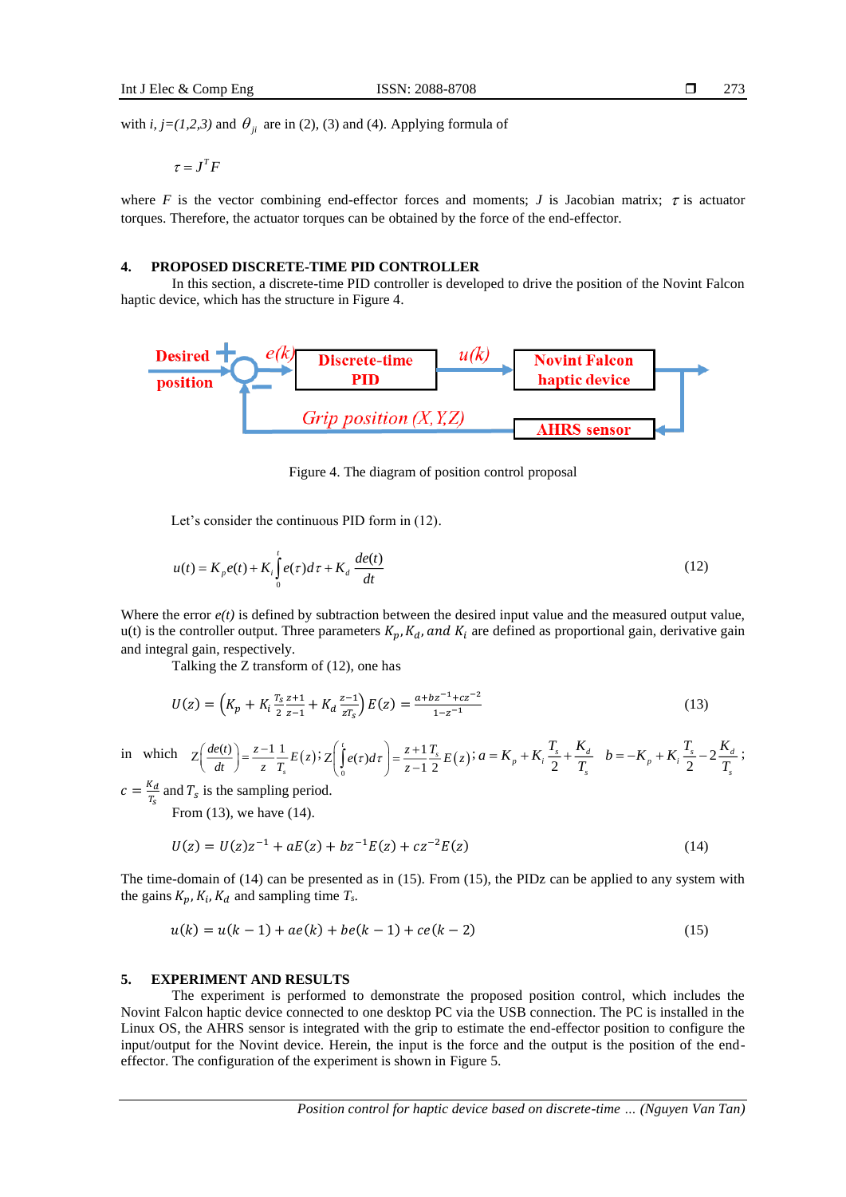with *i*,  $j=(1,2,3)$  and  $\theta_{ji}$  are in (2), (3) and (4). Applying formula of

 $\tau = J^T F$ 

where F is the vector combining end-effector forces and moments; J is Jacobian matrix;  $\tau$  is actuator torques. Therefore, the actuator torques can be obtained by the force of the end-effector.

#### **4. PROPOSED DISCRETE-TIME PID CONTROLLER**

In this section, a discrete-time PID controller is developed to drive the position of the Novint Falcon haptic device, which has the structure in Figure 4.



Figure 4. The diagram of position control proposal

Let's consider the continuous PID form in (12).

$$
u(t) = K_p e(t) + K_i \int_0^t e(\tau) d\tau + K_d \frac{de(t)}{dt}
$$
 (12)

Where the error  $e(t)$  is defined by subtraction between the desired input value and the measured output value, u(t) is the controller output. Three parameters  $K_p$ ,  $K_d$ , and  $K_i$  are defined as proportional gain, derivative gain and integral gain, respectively.

Talking the Z transform of (12), one has

$$
U(z) = \left(K_p + K_i \frac{T_s z + 1}{2 z - 1} + K_d \frac{z - 1}{z T_s}\right) E(z) = \frac{a + bz^{-1} + cz^{-2}}{1 - z^{-1}}
$$
\n(13)

in which  $Z\left(\frac{de(t)}{dt}\right) = \frac{z-1}{T} \frac{1}{T} E(z)$ *s*  $\left(\frac{de(t)}{dt}\right) = \frac{z-1}{z}\frac{1}{T_z}E(z)$  $Z\left(\frac{de(t)}{dt}\right) = \frac{z-1}{z}\frac{1}{T_s}E(z)$ ;  $Z\left(\int_0^t e(\tau)d\tau\right) = \frac{z+1}{z-1}\frac{T_s}{2}E(z)$  $(\tau)d\tau$  =  $\frac{z+1}{z-1}\frac{T_s}{2}$  $Z\left(\int_{0}^{t} e(\tau)d\tau\right) = \frac{z+1}{z-1} \frac{T_s}{2} E(z)$ ;  $a = K_p + K_i \frac{T_s}{2}$  $S_p + K_i \frac{r_s}{2} + \frac{r_d}{T_s}$  $a = K_p + K_i \frac{T_s}{2} + \frac{K_d}{T}$   $b = -K_p + K_i \frac{T_s}{2} - 2$  $S_p + K_i \frac{r_s}{2} - 2 \frac{r_d}{T_s}$  $b = -K_p + K_i \frac{T_s}{2} - 2 \frac{K_d}{T}$ ;

 $c=\frac{K_d}{T}$  $\frac{d}{r_s}$  and  $T_s$  is the sampling period.

From (13), we have (14).

$$
U(z) = U(z)z^{-1} + aE(z) + bz^{-1}E(z) + cz^{-2}E(z)
$$
\n(14)

The time-domain of (14) can be presented as in (15). From (15), the PIDz can be applied to any system with the gains  $K_p$ ,  $K_i$ ,  $K_d$  and sampling time  $T_s$ .

$$
u(k) = u(k-1) + ae(k) + be(k-1) + ce(k-2)
$$
\n(15)

### **5. EXPERIMENT AND RESULTS**

The experiment is performed to demonstrate the proposed position control, which includes the Novint Falcon haptic device connected to one desktop PC via the USB connection. The PC is installed in the Linux OS, the AHRS sensor is integrated with the grip to estimate the end-effector position to configure the input/output for the Novint device. Herein, the input is the force and the output is the position of the endeffector. The configuration of the experiment is shown in Figure 5.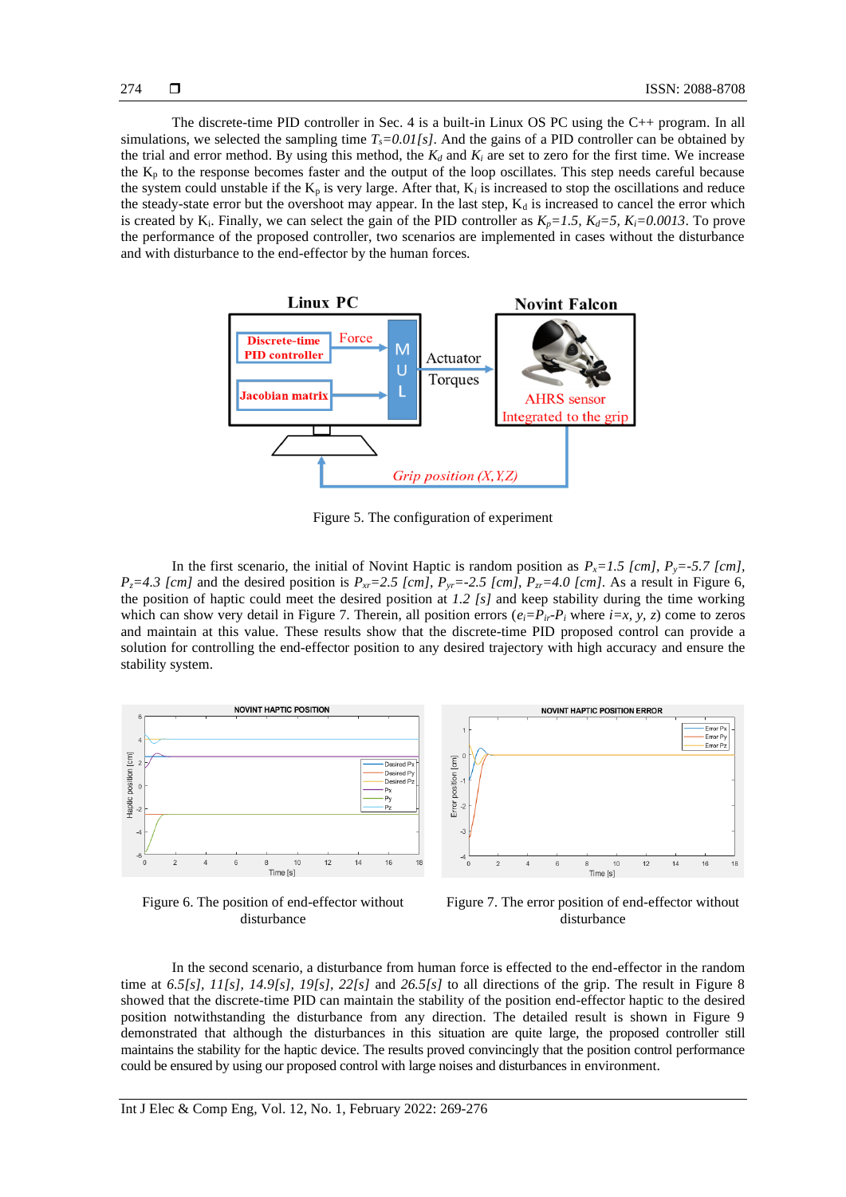- Error Px<br>- Error Py<br>- Error Pz

 $14$ 

16

The discrete-time PID controller in Sec. 4 is a built-in Linux OS PC using the C++ program. In all simulations, we selected the sampling time  $T_s = 0.01/s$ . And the gains of a PID controller can be obtained by the trial and error method. By using this method, the  $K_d$  and  $K_i$  are set to zero for the first time. We increase the  $K_p$  to the response becomes faster and the output of the loop oscillates. This step needs careful because the system could unstable if the  $K_p$  is very large. After that,  $K_i$  is increased to stop the oscillations and reduce the steady-state error but the overshoot may appear. In the last step,  $K_d$  is increased to cancel the error which is created by K<sub>i</sub>. Finally, we can select the gain of the PID controller as  $K_p = 1.5$ ,  $K_d = 5$ ,  $K_i = 0.0013$ . To prove the performance of the proposed controller, two scenarios are implemented in cases without the disturbance and with disturbance to the end-effector by the human forces.



Figure 5. The configuration of experiment

In the first scenario, the initial of Novint Haptic is random position as  $P_x = 1.5$  [cm],  $P_y = -5.7$  [cm], *P*<sub>*z*</sub>=4.3 [cm] and the desired position is  $P_{xr}$ =2.5 [cm],  $P_{yr}$ =-2.5 [cm],  $P_{yr}$ =4.0 [cm]. As a result in Figure 6, the position of haptic could meet the desired position at *1.2 [s]* and keep stability during the time working which can show very detail in Figure 7. Therein, all position errors  $(e_i = P_i - P_i)$  where  $i = x, y, z$  come to zeros and maintain at this value. These results show that the discrete-time PID proposed control can provide a solution for controlling the end-effector position to any desired trajectory with high accuracy and ensure the stability system.



Figure 6. The position of end-effector without disturbance



In the second scenario, a disturbance from human force is effected to the end-effector in the random time at *6.5[s], 11[s], 14.9[s], 19[s], 22[s]* and *26.5[s]* to all directions of the grip. The result in Figure 8 showed that the discrete-time PID can maintain the stability of the position end-effector haptic to the desired position notwithstanding the disturbance from any direction. The detailed result is shown in Figure 9 demonstrated that although the disturbances in this situation are quite large, the proposed controller still maintains the stability for the haptic device. The results proved convincingly that the position control performance could be ensured by using our proposed control with large noises and disturbances in environment.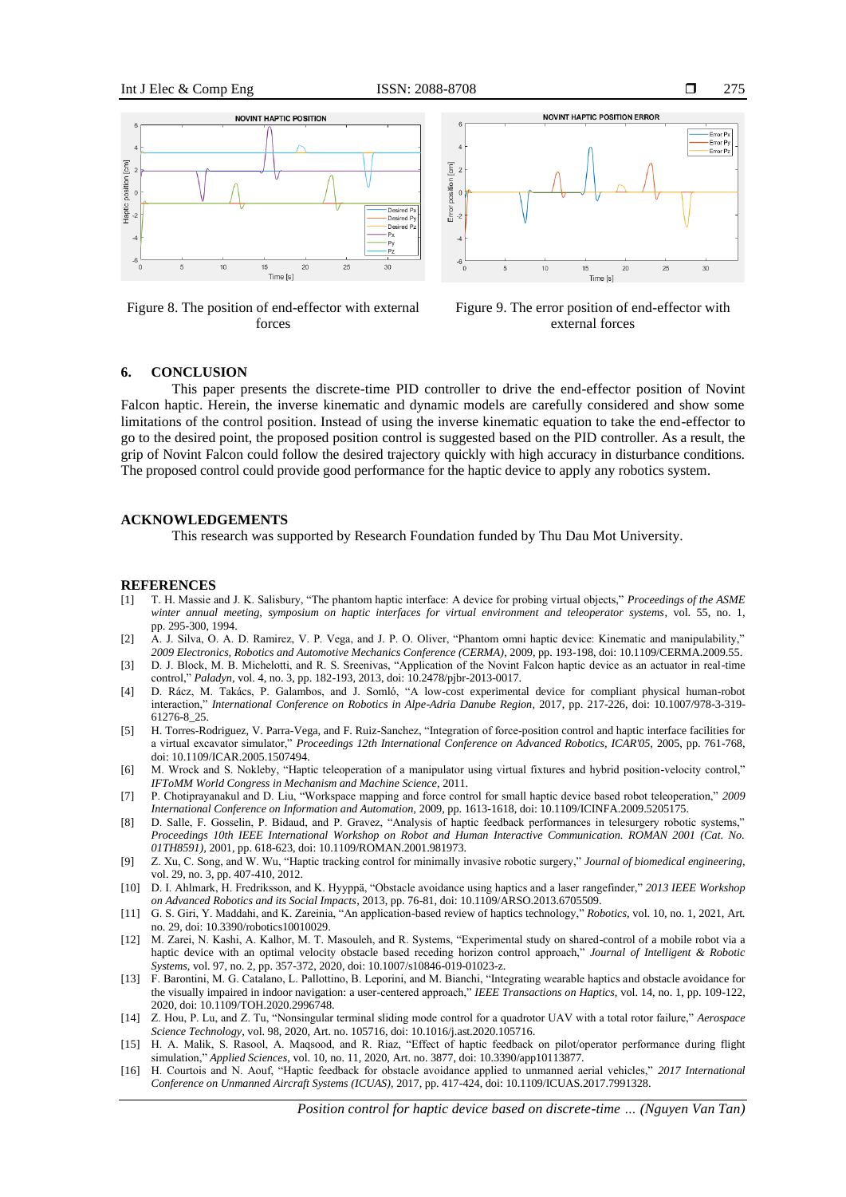

Figure 8. The position of end-effector with external forces



Figure 9. The error position of end-effector with external forces

#### **6. CONCLUSION**

This paper presents the discrete-time PID controller to drive the end-effector position of Novint Falcon haptic. Herein, the inverse kinematic and dynamic models are carefully considered and show some limitations of the control position. Instead of using the inverse kinematic equation to take the end-effector to go to the desired point, the proposed position control is suggested based on the PID controller. As a result, the grip of Novint Falcon could follow the desired trajectory quickly with high accuracy in disturbance conditions. The proposed control could provide good performance for the haptic device to apply any robotics system.

### **ACKNOWLEDGEMENTS**

This research was supported by Research Foundation funded by Thu Dau Mot University.

#### **REFERENCES**

- [1] T. H. Massie and J. K. Salisbury, "The phantom haptic interface: A device for probing virtual objects," *Proceedings of the ASME winter annual meeting, symposium on haptic interfaces for virtual environment and teleoperator systems*, vol. 55, no. 1, pp. 295-300, 1994.
- [2] A. J. Silva, O. A. D. Ramirez, V. P. Vega, and J. P. O. Oliver, "Phantom omni haptic device: Kinematic and manipulability," *2009 Electronics, Robotics and Automotive Mechanics Conference (CERMA)*, 2009, pp. 193-198, doi: 10.1109/CERMA.2009.55.
- [3] D. J. Block, M. B. Michelotti, and R. S. Sreenivas, "Application of the Novint Falcon haptic device as an actuator in real-time control," *Paladyn,* vol. 4, no. 3, pp. 182-193, 2013, doi: 10.2478/pjbr-2013-0017.
- [4] D. Rácz, M. Takács, P. Galambos, and J. Somló, "A low-cost experimental device for compliant physical human-robot interaction," *International Conference on Robotics in Alpe-Adria Danube Region,* 2017, pp. 217-226, doi: 10.1007/978-3-319- 61276-8\_25.
- [5] H. Torres-Rodriguez, V. Parra-Vega, and F. Ruiz-Sanchez, "Integration of force-position control and haptic interface facilities for a virtual excavator simulator," *Proceedings 12th International Conference on Advanced Robotics, ICAR'05,* 2005, pp. 761-768, doi: 10.1109/ICAR.2005.1507494.
- [6] M. Wrock and S. Nokleby, "Haptic teleoperation of a manipulator using virtual fixtures and hybrid position-velocity control," *IFToMM World Congress in Mechanism and Machine Science*, 2011.
- [7] P. Chotiprayanakul and D. Liu, "Workspace mapping and force control for small haptic device based robot teleoperation," *2009 International Conference on Information and Automation,* 2009, pp. 1613-1618, doi: 10.1109/ICINFA.2009.5205175.
- [8] D. Salle, F. Gosselin, P. Bidaud, and P. Gravez, "Analysis of haptic feedback performances in telesurgery robotic systems," *Proceedings 10th IEEE International Workshop on Robot and Human Interactive Communication. ROMAN 2001 (Cat. No. 01TH8591),* 2001, pp. 618-623, doi: 10.1109/ROMAN.2001.981973.
- [9] Z. Xu, C. Song, and W. Wu, "Haptic tracking control for minimally invasive robotic surgery," *Journal of biomedical engineering*, vol. 29, no. 3, pp. 407-410, 2012.
- [10] D. I. Ahlmark, H. Fredriksson, and K. Hyyppä, "Obstacle avoidance using haptics and a laser rangefinder," *2013 IEEE Workshop on Advanced Robotics and its Social Impacts*, 2013, pp. 76-81, doi: 10.1109/ARSO.2013.6705509.
- [11] G. S. Giri, Y. Maddahi, and K. Zareinia, "An application-based review of haptics technology," *Robotics,* vol. 10, no. 1, 2021, Art. no. 29, doi: 10.3390/robotics10010029.
- [12] M. Zarei, N. Kashi, A. Kalhor, M. T. Masouleh, and R. Systems, "Experimental study on shared-control of a mobile robot via a haptic device with an optimal velocity obstacle based receding horizon control approach," *Journal of Intelligent & Robotic Systems*, vol. 97, no. 2, pp. 357-372, 2020, doi: 10.1007/s10846-019-01023-z.
- [13] F. Barontini, M. G. Catalano, L. Pallottino, B. Leporini, and M. Bianchi, "Integrating wearable haptics and obstacle avoidance for the visually impaired in indoor navigation: a user-centered approach," *IEEE Transactions on Haptics,* vol. 14, no. 1, pp. 109-122, 2020, doi: 10.1109/TOH.2020.2996748.
- [14] Z. Hou, P. Lu, and Z. Tu, "Nonsingular terminal sliding mode control for a quadrotor UAV with a total rotor failure," *Aerospace Science Technology*, vol. 98, 2020, Art. no. 105716, doi: 10.1016/j.ast.2020.105716.
- [15] H. A. Malik, S. Rasool, A. Maqsood, and R. Riaz, "Effect of haptic feedback on pilot/operator performance during flight simulation," *Applied Sciences,* vol. 10, no. 11, 2020, Art. no. 3877, doi: 10.3390/app10113877.
- [16] H. Courtois and N. Aouf, "Haptic feedback for obstacle avoidance applied to unmanned aerial vehicles," *2017 International Conference on Unmanned Aircraft Systems (ICUAS),* 2017, pp. 417-424, doi: 10.1109/ICUAS.2017.7991328.